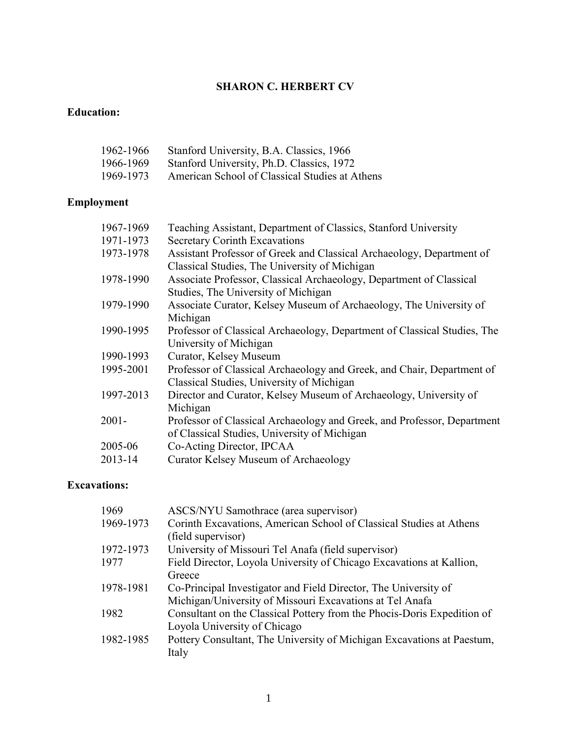#### **SHARON C. HERBERT CV**

#### **Education:**

| 1962-1966 | Stanford University, B.A. Classics, 1966       |
|-----------|------------------------------------------------|
| 1966-1969 | Stanford University, Ph.D. Classics, 1972      |
| 1969-1973 | American School of Classical Studies at Athens |

# **Employment**

| 1967-1969 | Teaching Assistant, Department of Classics, Stanford University          |
|-----------|--------------------------------------------------------------------------|
| 1971-1973 | <b>Secretary Corinth Excavations</b>                                     |
| 1973-1978 | Assistant Professor of Greek and Classical Archaeology, Department of    |
|           | Classical Studies, The University of Michigan                            |
| 1978-1990 | Associate Professor, Classical Archaeology, Department of Classical      |
|           | Studies, The University of Michigan                                      |
| 1979-1990 | Associate Curator, Kelsey Museum of Archaeology, The University of       |
|           | Michigan                                                                 |
| 1990-1995 | Professor of Classical Archaeology, Department of Classical Studies, The |
|           | University of Michigan                                                   |
| 1990-1993 | Curator, Kelsey Museum                                                   |
| 1995-2001 | Professor of Classical Archaeology and Greek, and Chair, Department of   |
|           | Classical Studies, University of Michigan                                |
| 1997-2013 | Director and Curator, Kelsey Museum of Archaeology, University of        |
|           | Michigan                                                                 |
| $2001 -$  | Professor of Classical Archaeology and Greek, and Professor, Department  |
|           | of Classical Studies, University of Michigan                             |
| 2005-06   | Co-Acting Director, IPCAA                                                |
| 2013-14   | Curator Kelsey Museum of Archaeology                                     |
|           |                                                                          |

#### **Excavations:**

| 1969      | ASCS/NYU Samothrace (area supervisor)                                   |
|-----------|-------------------------------------------------------------------------|
| 1969-1973 | Corinth Excavations, American School of Classical Studies at Athens     |
|           | (field supervisor)                                                      |
| 1972-1973 | University of Missouri Tel Anafa (field supervisor)                     |
| 1977      | Field Director, Loyola University of Chicago Excavations at Kallion,    |
|           | Greece                                                                  |
| 1978-1981 | Co-Principal Investigator and Field Director, The University of         |
|           | Michigan/University of Missouri Excavations at Tel Anafa                |
| 1982      | Consultant on the Classical Pottery from the Phocis-Doris Expedition of |
|           | Loyola University of Chicago                                            |
| 1982-1985 | Pottery Consultant, The University of Michigan Excavations at Paestum,  |
|           | Italy                                                                   |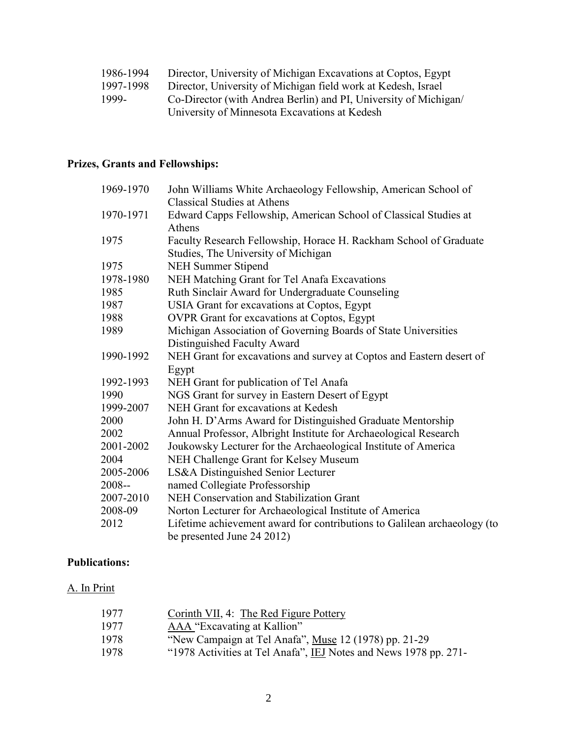| 1986-1994 | Director, University of Michigan Excavations at Coptos, Egypt    |
|-----------|------------------------------------------------------------------|
| 1997-1998 | Director, University of Michigan field work at Kedesh, Israel    |
| 1999-     | Co-Director (with Andrea Berlin) and PI, University of Michigan/ |
|           | University of Minnesota Excavations at Kedesh                    |

## **Prizes, Grants and Fellowships:**

| 1969-1970 | John Williams White Archaeology Fellowship, American School of           |
|-----------|--------------------------------------------------------------------------|
|           | <b>Classical Studies at Athens</b>                                       |
| 1970-1971 | Edward Capps Fellowship, American School of Classical Studies at         |
|           | Athens                                                                   |
| 1975      | Faculty Research Fellowship, Horace H. Rackham School of Graduate        |
|           | Studies, The University of Michigan                                      |
| 1975      | <b>NEH Summer Stipend</b>                                                |
| 1978-1980 | NEH Matching Grant for Tel Anafa Excavations                             |
| 1985      | Ruth Sinclair Award for Undergraduate Counseling                         |
| 1987      | USIA Grant for excavations at Coptos, Egypt                              |
| 1988      | <b>OVPR</b> Grant for excavations at Coptos, Egypt                       |
| 1989      | Michigan Association of Governing Boards of State Universities           |
|           | Distinguished Faculty Award                                              |
| 1990-1992 | NEH Grant for excavations and survey at Coptos and Eastern desert of     |
|           | Egypt                                                                    |
| 1992-1993 | NEH Grant for publication of Tel Anafa                                   |
| 1990      | NGS Grant for survey in Eastern Desert of Egypt                          |
| 1999-2007 | NEH Grant for excavations at Kedesh                                      |
| 2000      | John H. D'Arms Award for Distinguished Graduate Mentorship               |
| 2002      | Annual Professor, Albright Institute for Archaeological Research         |
| 2001-2002 | Joukowsky Lecturer for the Archaeological Institute of America           |
| 2004      | NEH Challenge Grant for Kelsey Museum                                    |
| 2005-2006 | LS&A Distinguished Senior Lecturer                                       |
| 2008--    | named Collegiate Professorship                                           |
| 2007-2010 | NEH Conservation and Stabilization Grant                                 |
| 2008-09   | Norton Lecturer for Archaeological Institute of America                  |
| 2012      | Lifetime achievement award for contributions to Galilean archaeology (to |
|           | be presented June 24 2012)                                               |

### **Publications:**

#### A. In Print

| 1977 | Corinth VII, 4: The Red Figure Pottery                           |
|------|------------------------------------------------------------------|
| 1977 | AAA "Excavating at Kallion"                                      |
| 1978 | "New Campaign at Tel Anafa", Muse 12 (1978) pp. 21-29            |
| 1978 | "1978 Activities at Tel Anafa", IEJ Notes and News 1978 pp. 271- |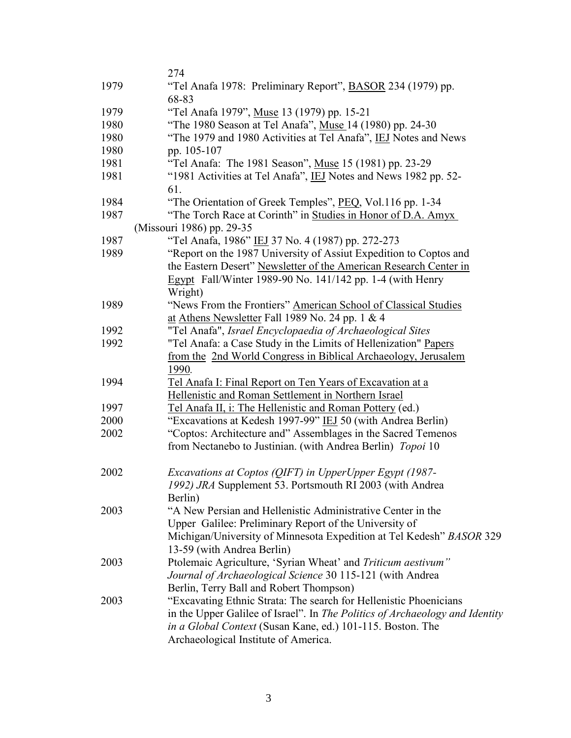|      | 274                                                                          |
|------|------------------------------------------------------------------------------|
| 1979 | "Tel Anafa 1978: Preliminary Report", <b>BASOR</b> 234 (1979) pp.            |
|      | 68-83                                                                        |
| 1979 | "Tel Anafa 1979", Muse 13 (1979) pp. 15-21                                   |
| 1980 | "The 1980 Season at Tel Anafa", Muse 14 (1980) pp. 24-30                     |
| 1980 | "The 1979 and 1980 Activities at Tel Anafa", IEJ Notes and News              |
| 1980 | pp. 105-107                                                                  |
| 1981 | "Tel Anafa: The 1981 Season", Muse 15 (1981) pp. 23-29                       |
| 1981 | "1981 Activities at Tel Anafa", IEJ Notes and News 1982 pp. 52-              |
|      | 61.                                                                          |
| 1984 | "The Orientation of Greek Temples", PEQ, Vol.116 pp. 1-34                    |
| 1987 | "The Torch Race at Corinth" in Studies in Honor of D.A. Amyx                 |
|      | (Missouri 1986) pp. 29-35                                                    |
| 1987 | "Tel Anafa, 1986" IEJ 37 No. 4 (1987) pp. 272-273                            |
| 1989 | "Report on the 1987 University of Assiut Expedition to Coptos and            |
|      | the Eastern Desert" Newsletter of the American Research Center in            |
|      | Egypt Fall/Winter 1989-90 No. 141/142 pp. 1-4 (with Henry                    |
|      | Wright)                                                                      |
| 1989 | "News From the Frontiers" American School of Classical Studies               |
|      | at Athens Newsletter Fall 1989 No. 24 pp. 1 & 4                              |
| 1992 | "Tel Anafa", Israel Encyclopaedia of Archaeological Sites                    |
| 1992 | "Tel Anafa: a Case Study in the Limits of Hellenization" Papers              |
|      | from the 2nd World Congress in Biblical Archaeology, Jerusalem               |
|      | 1990.                                                                        |
| 1994 | Tel Anafa I: Final Report on Ten Years of Excavation at a                    |
|      | Hellenistic and Roman Settlement in Northern Israel                          |
| 1997 | Tel Anafa II, i: The Hellenistic and Roman Pottery (ed.)                     |
| 2000 | "Excavations at Kedesh 1997-99" IEJ 50 (with Andrea Berlin)                  |
| 2002 | "Coptos: Architecture and" Assemblages in the Sacred Temenos                 |
|      | from Nectanebo to Justinian. (with Andrea Berlin) Topoi 10                   |
|      |                                                                              |
| 2002 | Excavations at Coptos (QIFT) in UpperUpper Egypt (1987-                      |
|      | 1992) JRA Supplement 53. Portsmouth RI 2003 (with Andrea                     |
| 2003 | Berlin)<br>"A New Persian and Hellenistic Administrative Center in the       |
|      | Upper Galilee: Preliminary Report of the University of                       |
|      | Michigan/University of Minnesota Expedition at Tel Kedesh" BASOR 329         |
|      | 13-59 (with Andrea Berlin)                                                   |
| 2003 | Ptolemaic Agriculture, 'Syrian Wheat' and Triticum aestivum"                 |
|      | Journal of Archaeological Science 30 115-121 (with Andrea                    |
|      | Berlin, Terry Ball and Robert Thompson)                                      |
| 2003 | "Excavating Ethnic Strata: The search for Hellenistic Phoenicians            |
|      | in the Upper Galilee of Israel". In The Politics of Archaeology and Identity |
|      | in a Global Context (Susan Kane, ed.) 101-115. Boston. The                   |
|      | Archaeological Institute of America.                                         |
|      |                                                                              |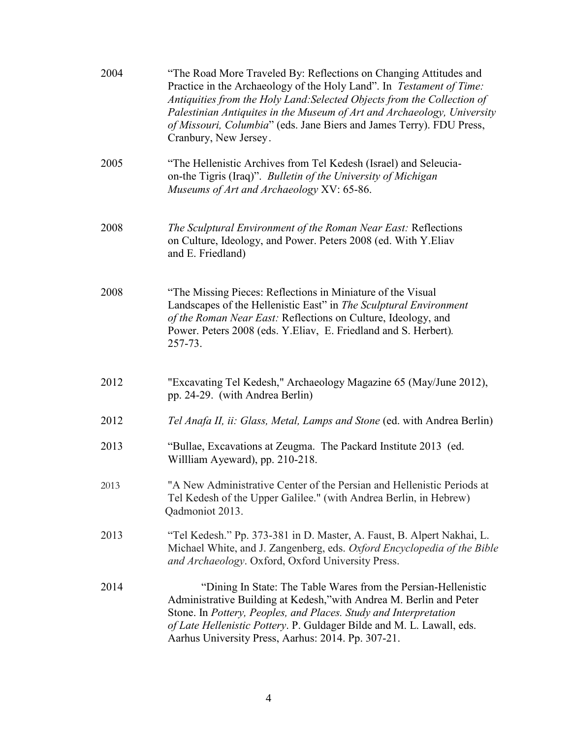| 2004 | "The Road More Traveled By: Reflections on Changing Attitudes and<br>Practice in the Archaeology of the Holy Land". In Testament of Time:<br>Antiquities from the Holy Land: Selected Objects from the Collection of<br>Palestinian Antiquites in the Museum of Art and Archaeology, University<br>of Missouri, Columbia" (eds. Jane Biers and James Terry). FDU Press,<br>Cranbury, New Jersey. |
|------|--------------------------------------------------------------------------------------------------------------------------------------------------------------------------------------------------------------------------------------------------------------------------------------------------------------------------------------------------------------------------------------------------|
| 2005 | "The Hellenistic Archives from Tel Kedesh (Israel) and Seleucia-<br>on-the Tigris (Iraq)". Bulletin of the University of Michigan<br>Museums of Art and Archaeology XV: 65-86.                                                                                                                                                                                                                   |
| 2008 | The Sculptural Environment of the Roman Near East: Reflections<br>on Culture, Ideology, and Power. Peters 2008 (ed. With Y. Eliav<br>and E. Friedland)                                                                                                                                                                                                                                           |
| 2008 | "The Missing Pieces: Reflections in Miniature of the Visual<br>Landscapes of the Hellenistic East" in The Sculptural Environment<br>of the Roman Near East: Reflections on Culture, Ideology, and<br>Power. Peters 2008 (eds. Y.Eliav, E. Friedland and S. Herbert).<br>257-73.                                                                                                                  |
| 2012 | "Excavating Tel Kedesh," Archaeology Magazine 65 (May/June 2012),<br>pp. 24-29. (with Andrea Berlin)                                                                                                                                                                                                                                                                                             |
| 2012 | Tel Anafa II, ii: Glass, Metal, Lamps and Stone (ed. with Andrea Berlin)                                                                                                                                                                                                                                                                                                                         |
| 2013 | "Bullae, Excavations at Zeugma. The Packard Institute 2013 (ed.<br>William Ayeward), pp. 210-218.                                                                                                                                                                                                                                                                                                |
| 2013 | "A New Administrative Center of the Persian and Hellenistic Periods at<br>Tel Kedesh of the Upper Galilee." (with Andrea Berlin, in Hebrew)<br>Qadmoniot 2013.                                                                                                                                                                                                                                   |
| 2013 | "Tel Kedesh." Pp. 373-381 in D. Master, A. Faust, B. Alpert Nakhai, L.<br>Michael White, and J. Zangenberg, eds. Oxford Encyclopedia of the Bible<br>and Archaeology. Oxford, Oxford University Press.                                                                                                                                                                                           |
| 2014 | "Dining In State: The Table Wares from the Persian-Hellenistic<br>Administrative Building at Kedesh,"with Andrea M. Berlin and Peter<br>Stone. In Pottery, Peoples, and Places. Study and Interpretation<br>of Late Hellenistic Pottery. P. Guldager Bilde and M. L. Lawall, eds.<br>Aarhus University Press, Aarhus: 2014. Pp. 307-21.                                                          |